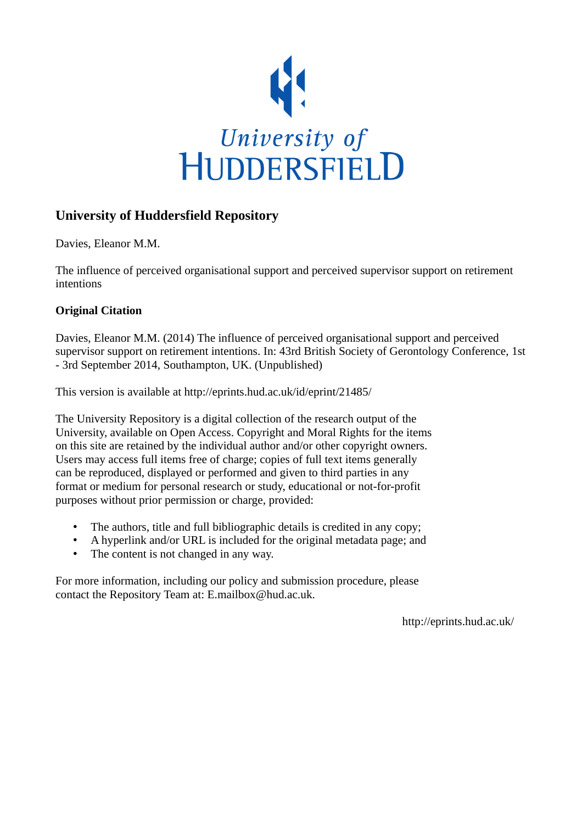

#### **University of Huddersfield Repository**

Davies, Eleanor M.M.

The influence of perceived organisational support and perceived supervisor support on retirement intentions

#### **Original Citation**

Davies, Eleanor M.M. (2014) The influence of perceived organisational support and perceived supervisor support on retirement intentions. In: 43rd British Society of Gerontology Conference, 1st - 3rd September 2014, Southampton, UK. (Unpublished)

This version is available at http://eprints.hud.ac.uk/id/eprint/21485/

The University Repository is a digital collection of the research output of the University, available on Open Access. Copyright and Moral Rights for the items on this site are retained by the individual author and/or other copyright owners. Users may access full items free of charge; copies of full text items generally can be reproduced, displayed or performed and given to third parties in any format or medium for personal research or study, educational or not-for-profit purposes without prior permission or charge, provided:

- The authors, title and full bibliographic details is credited in any copy;
- A hyperlink and/or URL is included for the original metadata page; and
- The content is not changed in any way.

For more information, including our policy and submission procedure, please contact the Repository Team at: E.mailbox@hud.ac.uk.

http://eprints.hud.ac.uk/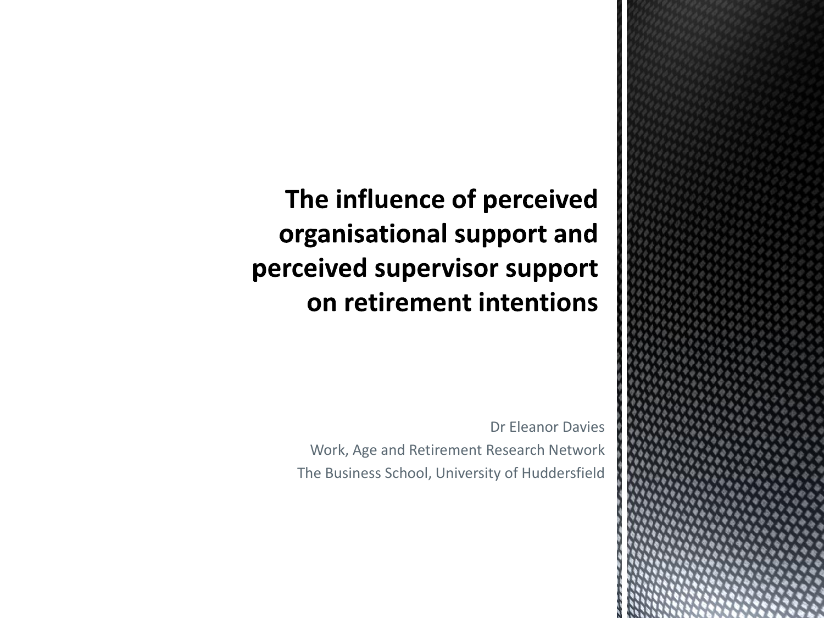The influence of perceived organisational support and perceived supervisor support on retirement intentions

> Dr Eleanor Davies Work, Age and Retirement Research Network The Business School, University of Huddersfield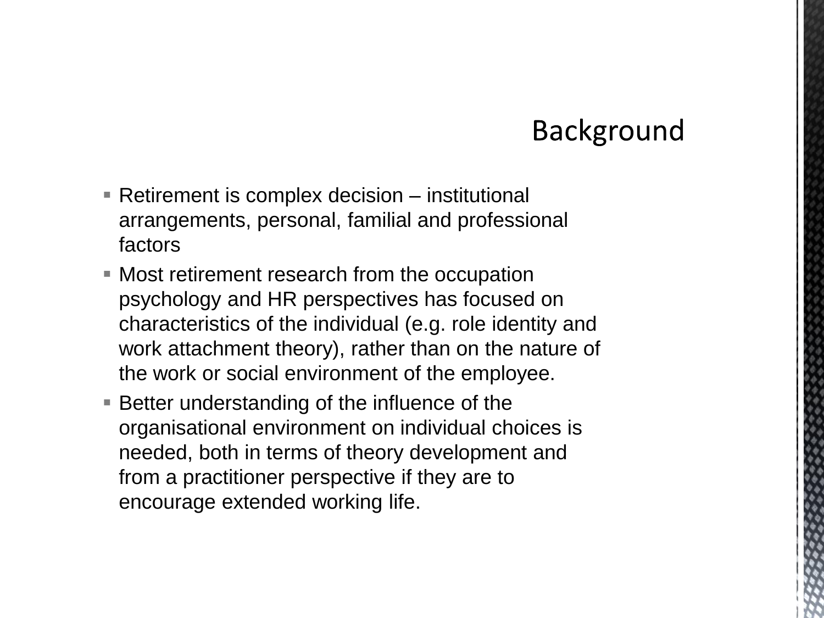### **Background**

- Retirement is complex decision institutional arrangements, personal, familial and professional factors
- Most retirement research from the occupation psychology and HR perspectives has focused on characteristics of the individual (e.g. role identity and work attachment theory), rather than on the nature of the work or social environment of the employee.
- **Better understanding of the influence of the** organisational environment on individual choices is needed, both in terms of theory development and from a practitioner perspective if they are to encourage extended working life.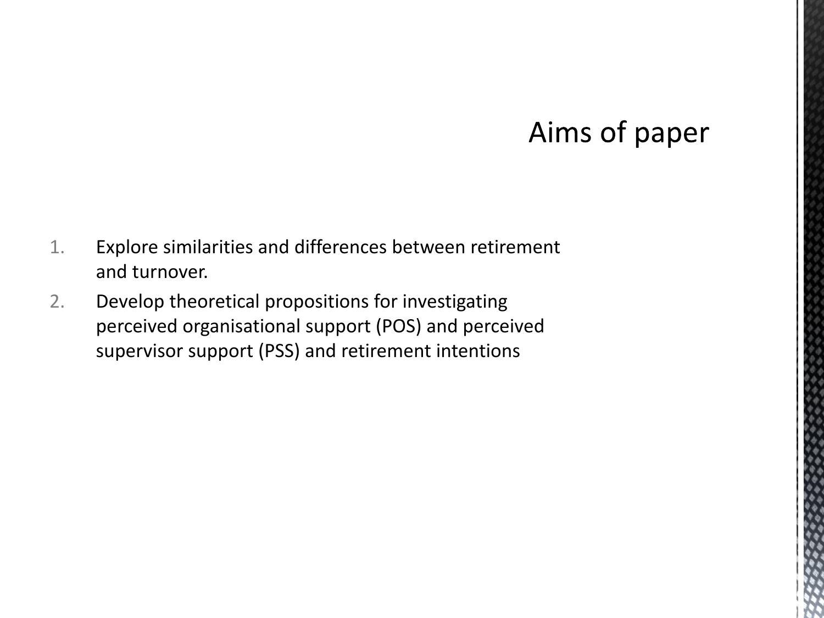### Aims of paper

- 1. Explore similarities and differences between retirement and turnover.
- 2. Develop theoretical propositions for investigating perceived organisational support (POS) and perceived supervisor support (PSS) and retirement intentions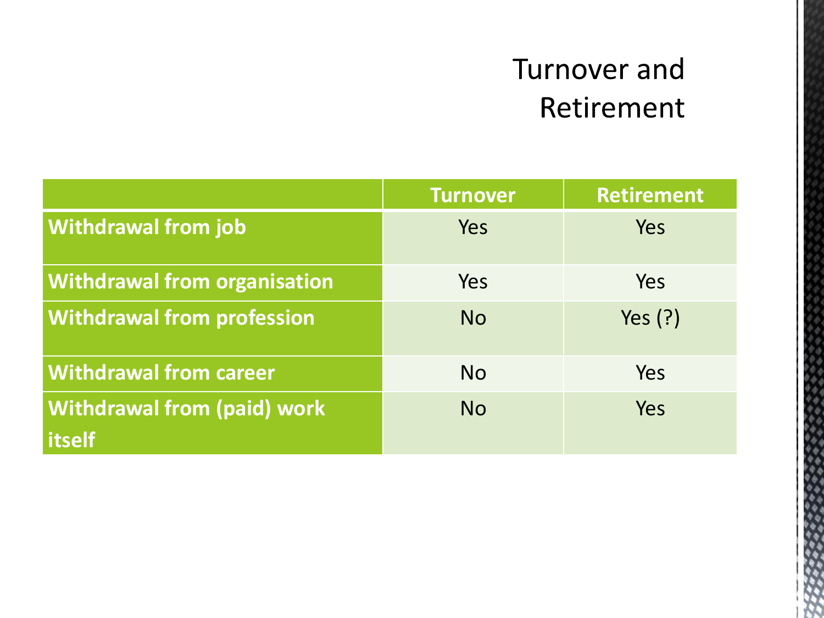# Turnover and Retirement

| <b>Turnover</b> | Retirement |
|-----------------|------------|
| Yes             | Yes        |
| Yes             | <b>Yes</b> |
| <b>No</b>       | Yes $(?)$  |
| <b>No</b>       | Yes        |
| <b>No</b>       | Yes        |
|                 |            |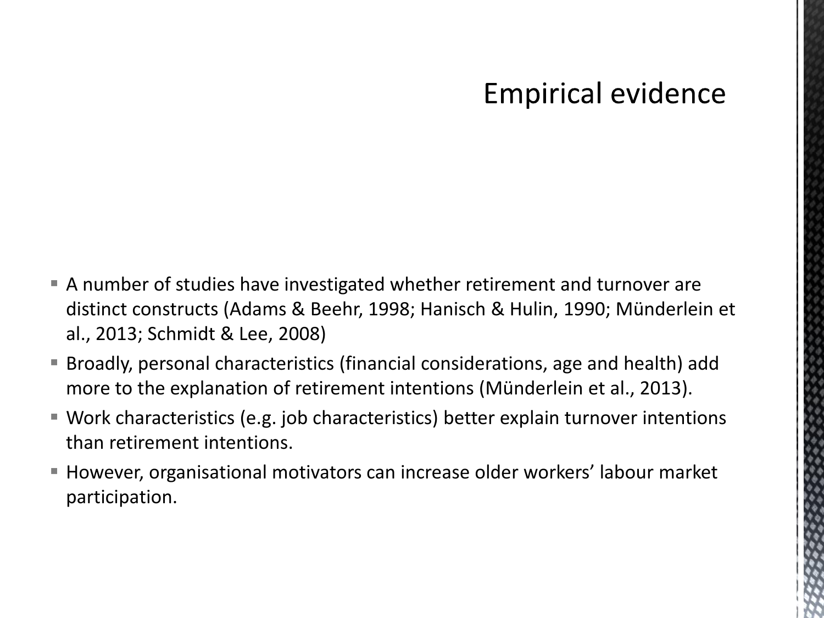### **Empirical evidence**

- A number of studies have investigated whether retirement and turnover are distinct constructs (Adams & Beehr, 1998; Hanisch & Hulin, 1990; Münderlein et al., 2013; Schmidt & Lee, 2008)
- Broadly, personal characteristics (financial considerations, age and health) add more to the explanation of retirement intentions (Münderlein et al., 2013).
- Work characteristics (e.g. job characteristics) better explain turnover intentions than retirement intentions.
- However, organisational motivators can increase older workers' labour market participation.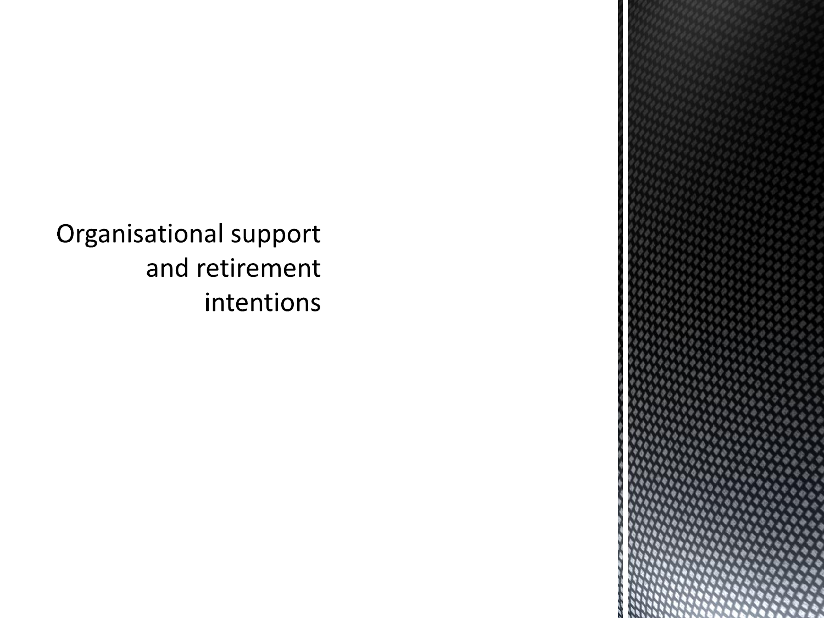Organisational support and retirement intentions

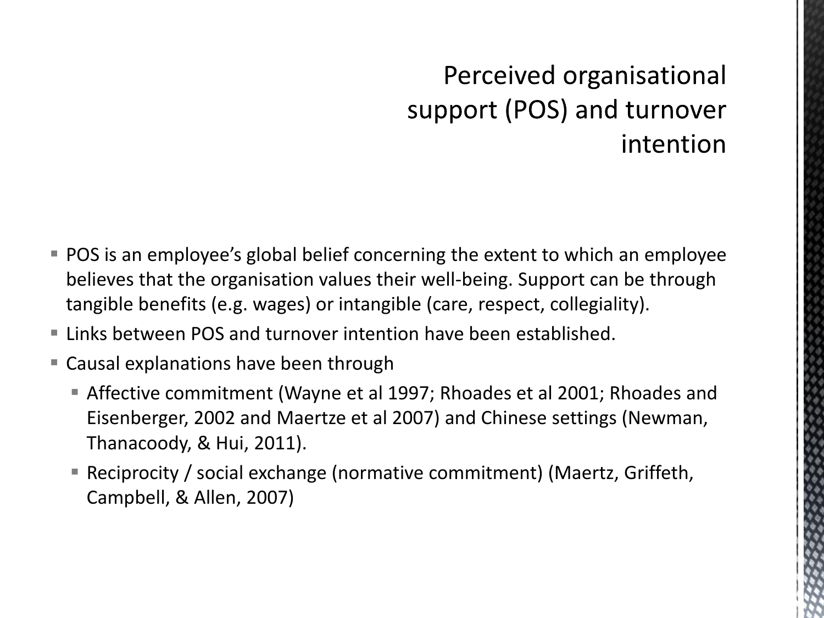## Perceived organisational support (POS) and turnover intention

- POS is an employee's global belief concerning the extent to which an employee believes that the organisation values their well-being. Support can be through tangible benefits (e.g. wages) or intangible (care, respect, collegiality).
- Links between POS and turnover intention have been established.
- Causal explanations have been through
	- Affective commitment (Wayne et al 1997; Rhoades et al 2001; Rhoades and Eisenberger, 2002 and Maertze et al 2007) and Chinese settings (Newman, Thanacoody, & Hui, 2011).
	- Reciprocity / social exchange (normative commitment) (Maertz, Griffeth, Campbell, & Allen, 2007)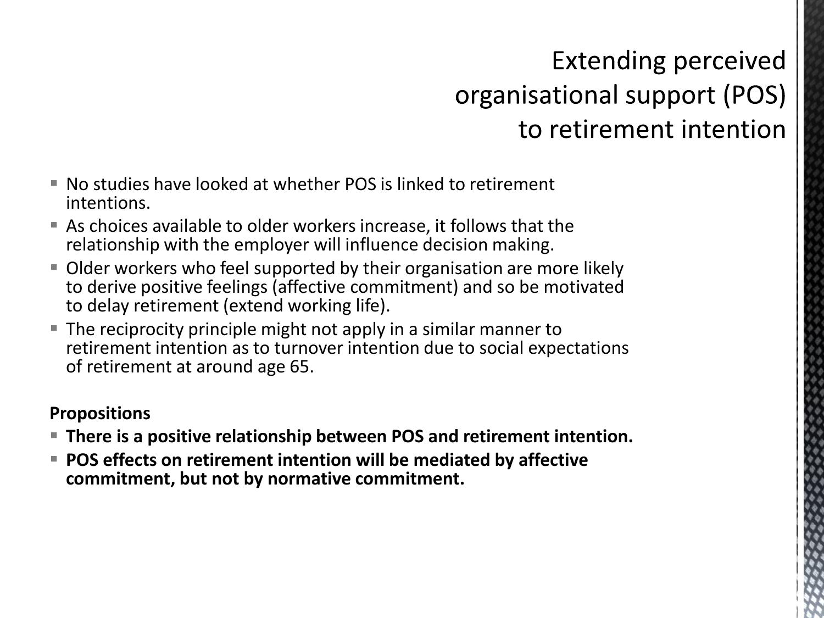## **Extending perceived** organisational support (POS) to retirement intention

- No studies have looked at whether POS is linked to retirement intentions.
- As choices available to older workers increase, it follows that the relationship with the employer will influence decision making.
- Older workers who feel supported by their organisation are more likely to derive positive feelings (affective commitment) and so be motivated to delay retirement (extend working life).
- **The reciprocity principle might not apply in a similar manner to** retirement intention as to turnover intention due to social expectations of retirement at around age 65.

#### **Propositions**

- **There is a positive relationship between POS and retirement intention.**
- **POS effects on retirement intention will be mediated by affective commitment, but not by normative commitment.**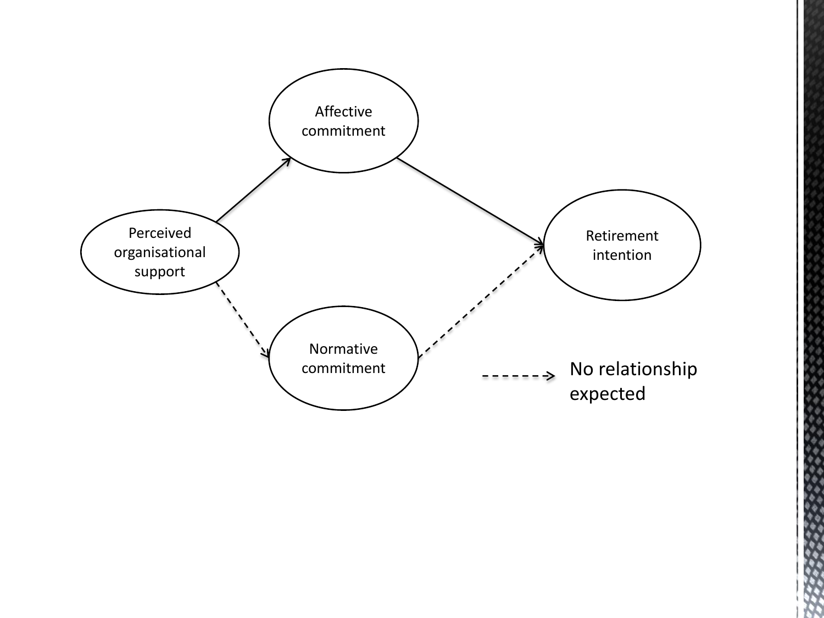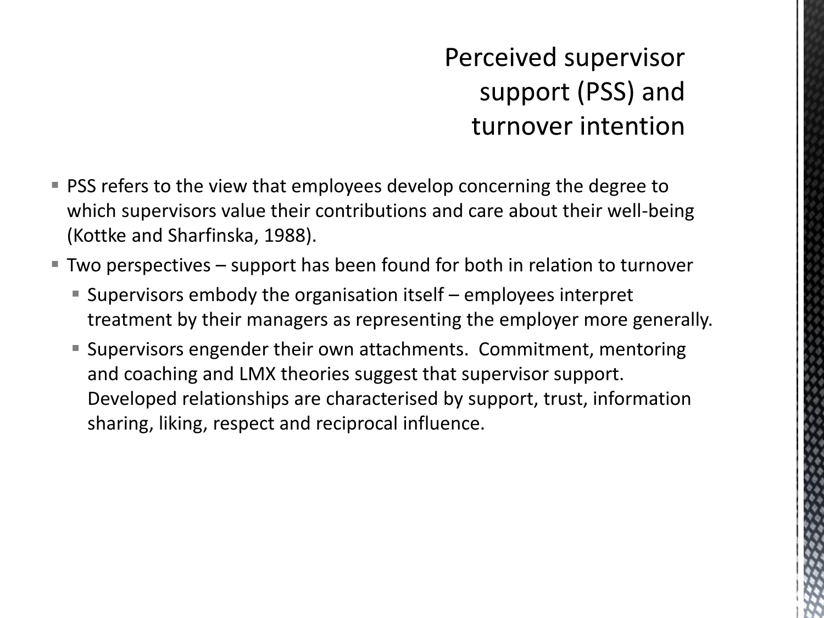## Perceived supervisor support (PSS) and turnover intention

- **PSS refers to the view that employees develop concerning the degree to** which supervisors value their contributions and care about their well-being (Kottke and Sharfinska, 1988).
- Two perspectives support has been found for both in relation to turnover
	- Supervisors embody the organisation itself employees interpret treatment by their managers as representing the employer more generally.
	- Supervisors engender their own attachments. Commitment, mentoring and coaching and LMX theories suggest that supervisor support. Developed relationships are characterised by support, trust, information sharing, liking, respect and reciprocal influence.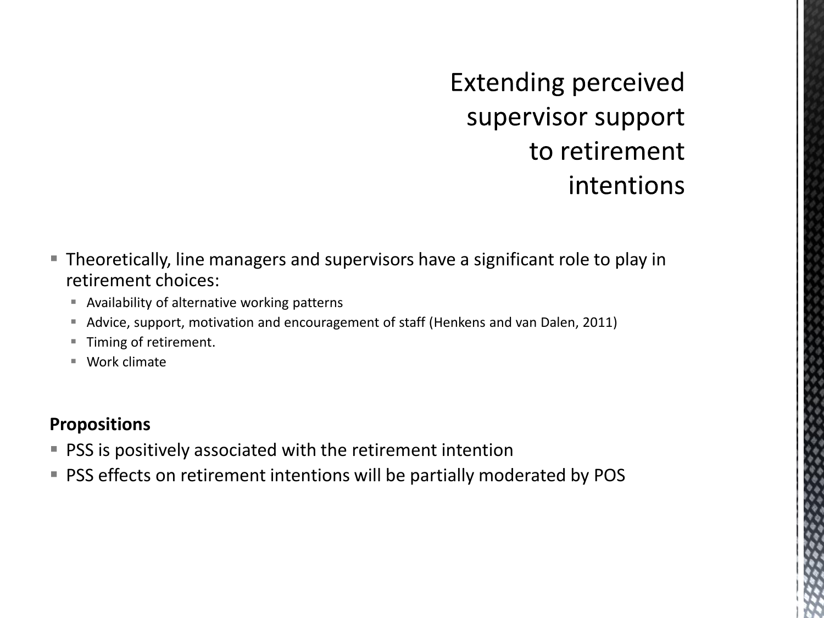**Extending perceived** supervisor support to retirement intentions

- Theoretically, line managers and supervisors have a significant role to play in retirement choices:
	- Availability of alternative working patterns
	- Advice, support, motivation and encouragement of staff (Henkens and van Dalen, 2011)
	- Timing of retirement.
	- Work climate

#### **Propositions**

- **PSS** is positively associated with the retirement intention
- **PSS effects on retirement intentions will be partially moderated by POS**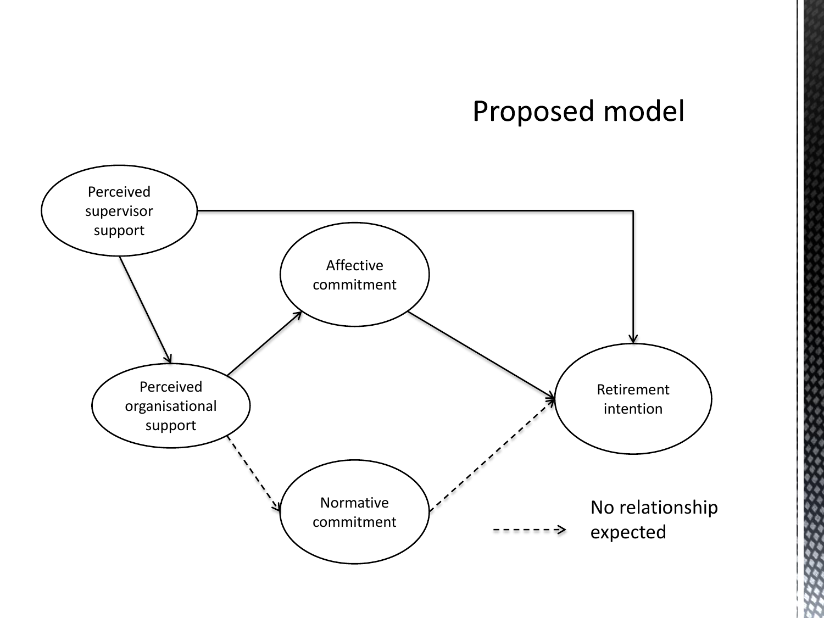### Proposed model

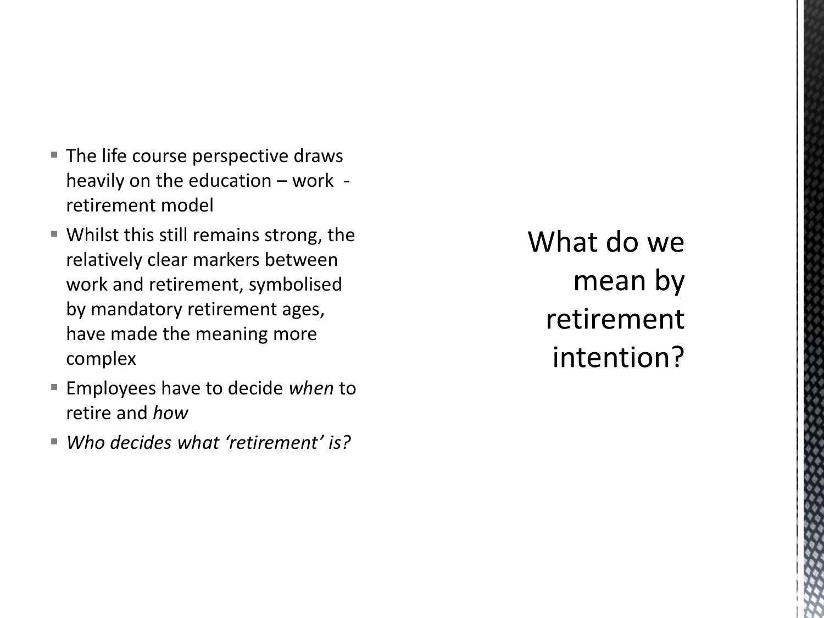- **The life course perspective draws** heavily on the education – work retirement model
- Whilst this still remains strong, the relatively clear markers between work and retirement, symbolised by mandatory retirement ages, have made the meaning more complex
- Employees have to decide *when* to retire and *how*
- *Who decides what 'retirement' is?*

What do we mean by retirement intention?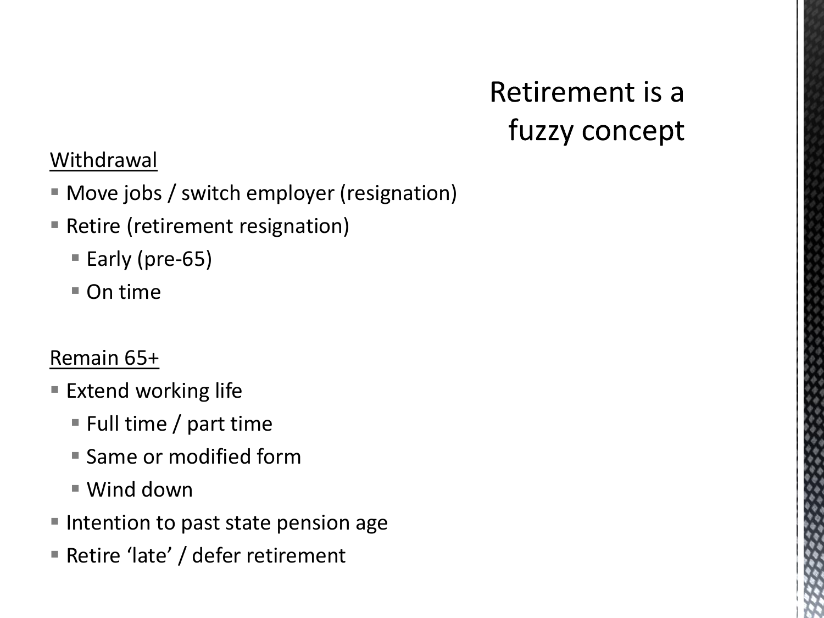# Retirement is a fuzzy concept

#### Withdrawal

- Move jobs / switch employer (resignation)
- **Retire (retirement resignation)** 
	- Early (pre-65)
	- $\blacksquare$  On time

#### Remain 65+

- **Extend working life** 
	- Full time  $/$  part time
	- **Same or modified form**
	- Wind down
- **Intention to past state pension age**
- Retire 'late' / defer retirement